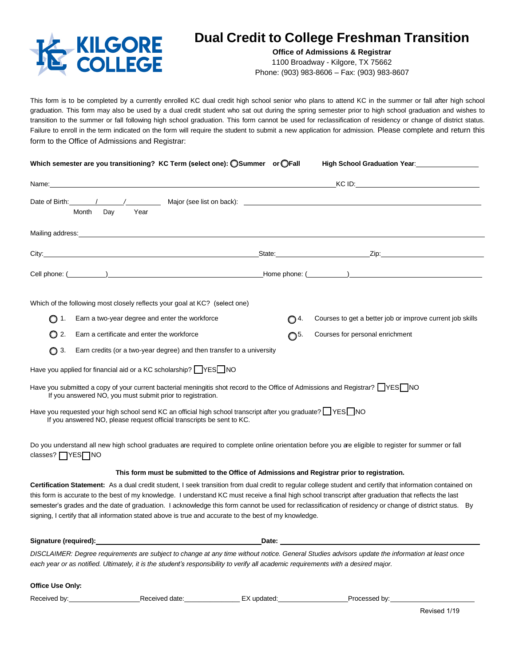

## **Dual Credit to College Freshman Transition**

**Office of Admissions & Registrar** 1100 Broadway - Kilgore, TX 75662 Phone: (903) 983-8606 – Fax: (903) 983-8607

This form is to be completed by a currently enrolled KC dual credit high school senior who plans to attend KC in the summer or fall after high school graduation. This form may also be used by a dual credit student who sat out during the spring semester prior to high school graduation and wishes to transition to the summer or fall following high school graduation. This form cannot be used for reclassification of residency or change of district status. Failure to enroll in the term indicated on the form will require the student to submit a new application for admission. Please complete and return this form to the Office of Admissions and Registrar:

| Which semester are you transitioning? KC Term (select one): OSummer or OFall                                                                                                                                                                                                                                                                                                                 |                                                                                                                                                                                                                                      | High School Graduation Year: 1997                         |  |
|----------------------------------------------------------------------------------------------------------------------------------------------------------------------------------------------------------------------------------------------------------------------------------------------------------------------------------------------------------------------------------------------|--------------------------------------------------------------------------------------------------------------------------------------------------------------------------------------------------------------------------------------|-----------------------------------------------------------|--|
|                                                                                                                                                                                                                                                                                                                                                                                              | Name: <u>Alexander Control Communications and Control Control Control Control Control Control Control Control Control Control Control Control Control Control Control Control Control Control Control Control Control Control Co</u> |                                                           |  |
| Month Dav<br>Year                                                                                                                                                                                                                                                                                                                                                                            |                                                                                                                                                                                                                                      |                                                           |  |
|                                                                                                                                                                                                                                                                                                                                                                                              |                                                                                                                                                                                                                                      |                                                           |  |
|                                                                                                                                                                                                                                                                                                                                                                                              |                                                                                                                                                                                                                                      |                                                           |  |
|                                                                                                                                                                                                                                                                                                                                                                                              |                                                                                                                                                                                                                                      |                                                           |  |
| Which of the following most closely reflects your goal at KC? (select one)                                                                                                                                                                                                                                                                                                                   |                                                                                                                                                                                                                                      |                                                           |  |
| Earn a two-year degree and enter the workforce<br>$\bigcirc$ 1.                                                                                                                                                                                                                                                                                                                              | O 4.                                                                                                                                                                                                                                 | Courses to get a better job or improve current job skills |  |
| Earn a certificate and enter the workforce<br>O 2.                                                                                                                                                                                                                                                                                                                                           | $\mathbb{O}^{5}$                                                                                                                                                                                                                     | Courses for personal enrichment                           |  |
| Earn credits (or a two-year degree) and then transfer to a university<br>$\bigcap$ 3.                                                                                                                                                                                                                                                                                                        |                                                                                                                                                                                                                                      |                                                           |  |
| Have you applied for financial aid or a KC scholarship? VES NO                                                                                                                                                                                                                                                                                                                               |                                                                                                                                                                                                                                      |                                                           |  |
| Have you submitted a copy of your current bacterial meningitis shot record to the Office of Admissions and Registrar? $\Box$ YES NO<br>If you answered NO, you must submit prior to registration.                                                                                                                                                                                            |                                                                                                                                                                                                                                      |                                                           |  |
| Have you requested your high school send KC an official high school transcript after you graduate? IF YES INO<br>If you answered NO, please request official transcripts be sent to KC.                                                                                                                                                                                                      |                                                                                                                                                                                                                                      |                                                           |  |
| Do you understand all new high school graduates are required to complete online orientation before you are eligible to register for summer or fall<br>classes?   YES   NO                                                                                                                                                                                                                    |                                                                                                                                                                                                                                      |                                                           |  |
| This form must be submitted to the Office of Admissions and Registrar prior to registration.                                                                                                                                                                                                                                                                                                 |                                                                                                                                                                                                                                      |                                                           |  |
| Certification Statement: As a dual credit student, I seek transition from dual credit to regular college student and certify that information contained on<br>a famo in annumento tha bant of much macchanters. I constanting all Concentration of final bigh asked through the substanting that the fact that had been been been been asked to be the fact of the fact of the fact of the f |                                                                                                                                                                                                                                      |                                                           |  |

this form is accurate to the best of my knowledge. I understand KC must receive a final high school transcript after graduation that reflects the last semester's grades and the date of graduation. I acknowledge this form cannot be used for reclassification of residency or change of district status. By signing, I certify that all information stated above is true and accurate to the best of my knowledge.

**Signature (required): Date:** 

*DISCLAIMER: Degree requirements are subject to change at any time without notice. General Studies advisors update the information at least once each year or as notified. Ultimately, it is the student's responsibility to verify all academic requirements with a desired major.*

**Office Use Only:**